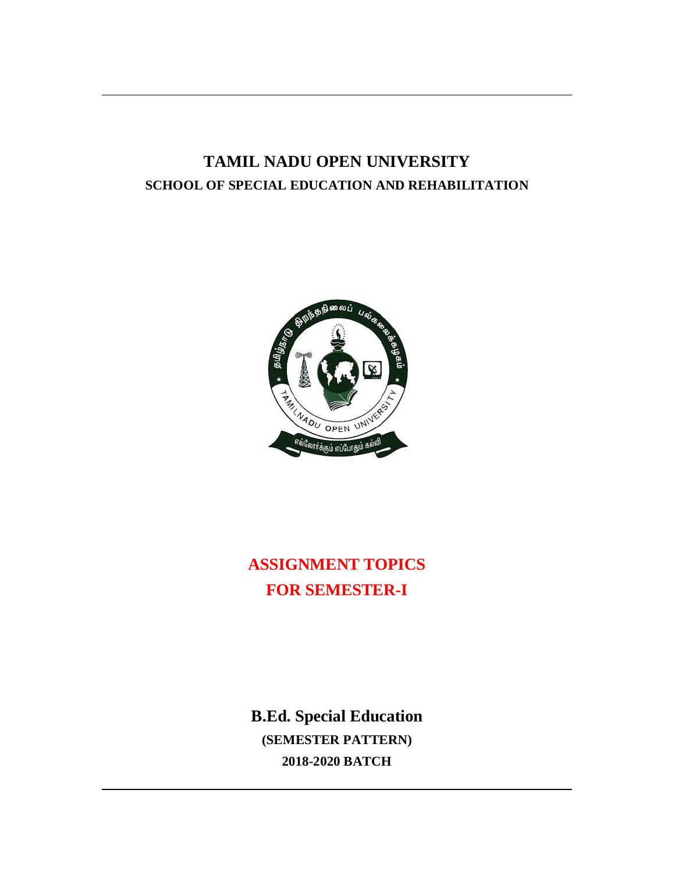# **TAMIL NADU OPEN UNIVERSITY SCHOOL OF SPECIAL EDUCATION AND REHABILITATION**



# **ASSIGNMENT TOPICS FOR SEMESTER-I**

**B.Ed. Special Education (SEMESTER PATTERN) 2018-2020 BATCH**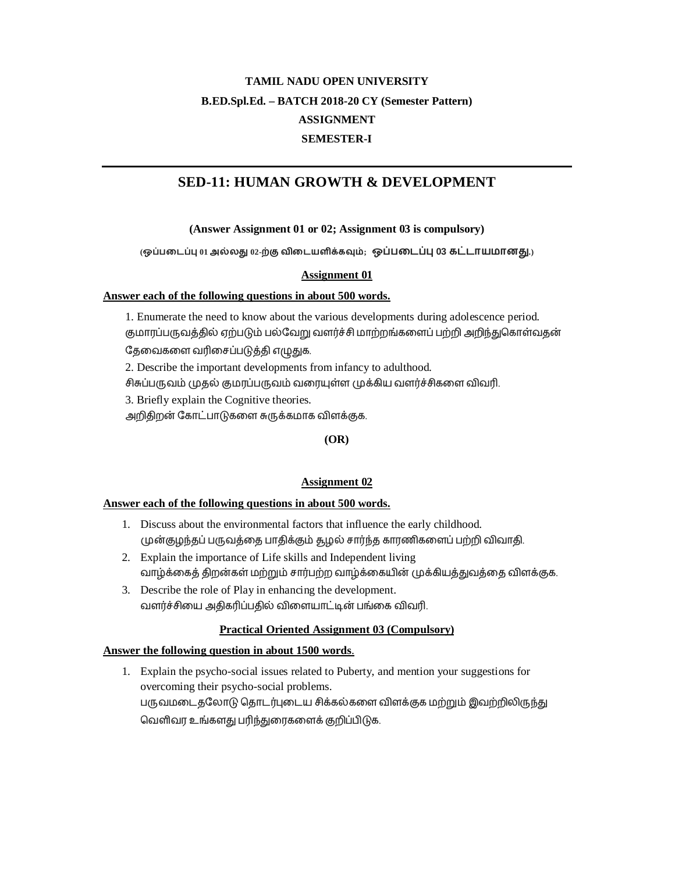# **SED-11: HUMAN GROWTH & DEVELOPMENT**

# **(Answer Assignment 01 or 02; Assignment 03 is compulsory)**

 $($ ஒப்படைப்பு 01 அல்லது 02-ற்கு விடையளிக்கவும்; ஒப்படைப்பு 03 கட்டாயமானது.)

# **Assignment 01**

# **Answer each of the following questions in about 500 words.**

1. Enumerate the need to know about the various developments during adolescence period. குமாரப்பருவத்தில் ஏற்படும் பல்வேறு வளர்ச்சி மாற்றங்களைப் பற்றி அறிந்துகொள்வதன் தேவைகளை வரிசைப்படுத்தி எழுதுக.

2. Describe the important developments from infancy to adulthood.

சிசுப்பருவம் முதல் குமரப்பருவம் வரையுள்ள முக்கிய வளர்ச்சிகளை விவரி.

3. Briefly explain the Cognitive theories.

அறிதிறன் கோட்பாடுகளை சுருக்கமாக விளக்குக.

**(OR)**

# **Assignment 02**

# **Answer each of the following questions in about 500 words.**

- 1. Discuss about the environmental factors that influence the early childhood. முன்குழந்தப் பருவத்தை பாதிக்கும் தழல் சார்ந்த காரணிகளைப் பற்றி விவாதி.
- 2. Explain the importance of Life skills and Independent living வாழ்க்கைத் திறன்கள் மற்றும் சார்பற்ற வாழ்க்கையின் முக்கியத்துவத்தை விளக்குக.
- 3. Describe the role of Play in enhancing the development. வளர்ச்சியை அதிகரிப்பதில் விளையாட்டின் பங்கை விவரி.

# **Practical Oriented Assignment 03 (Compulsory)**

# **Answer the following question in about 1500 words**.

1. Explain the psycho-social issues related to Puberty, and mention your suggestions for overcoming their psycho-social problems. பருவமடைதலோடு தொடர்புடைய சிக்கல்களை விளக்குக மற்றும் இவற்றிலிருந்து வெளிவர உங்களது பரிந்துரைகளைக் குறிப்பிடுக.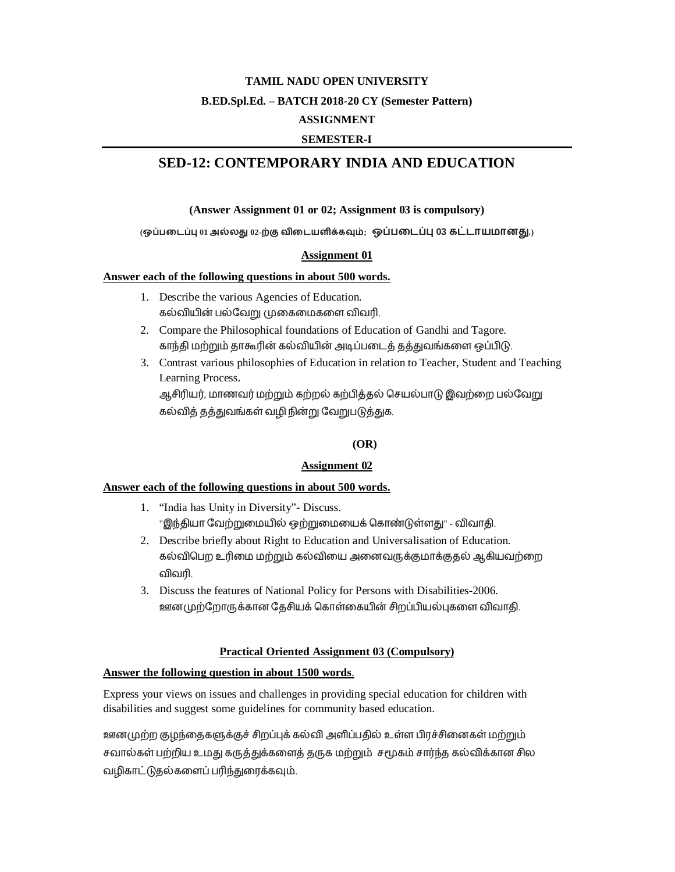# **SED-12: CONTEMPORARY INDIA AND EDUCATION**

# **(Answer Assignment 01 or 02; Assignment 03 is compulsory)**

 $($ ஒப்படைப்பு 01 அல்லது 02-ற்கு விடையளிக்கவும்; ஒப்படைப்பு 03 கட்டாயமானது.

# **Assignment 01**

#### **Answer each of the following questions in about 500 words.**

- 1. Describe the various Agencies of Education. கல்வியின் பல்வேறு முகைமைகளை விவரி.
- 2. Compare the Philosophical foundations of Education of Gandhi and Tagore. காந்தி மற்றும் தாகூரின் கல்வியின் அடிப்படைத் தத்துவங்களை ஒப்பிடு.
- 3. Contrast various philosophies of Education in relation to Teacher, Student and Teaching Learning Process. ஆசிரியர், மாணவர் மற்றும் கற்றல் கற்பித்தல் செயல்பாடு இவற்றை பல்வேறு

கல்வித் தத்துவங்கள் வழி நின்று வேறுபடுத்துக.

# **(OR)**

# **Assignment 02**

# **Answer each of the following questions in about 500 words.**

- 1. "India has Unity in Diversity"- Discuss. "இந்தியா வேற்றுமையில் ஒற்றுமையைக் கொண்டுள்ளது" - விவாதி.
- 2. Describe briefly about Right to Education and Universalisation of Education. கல்விபெற உரிமை மற்றும் கல்வியை அனைவருக்குமாக்குதல் ஆகியவற்றை விவரி.
- 3. Discuss the features of National Policy for Persons with Disabilities-2006. ஊனமுற்றோருக்கான தேசியக் கொள்கையின் சிறப்பியல்புகளை விவாதி.

# **Practical Oriented Assignment 03 (Compulsory)**

# **Answer the following question in about 1500 words**.

Express your views on issues and challenges in providing special education for children with disabilities and suggest some guidelines for community based education.

ஊனமுற்ற குழந்தைகளுக்குச் சிறப்புக் கல்வி அளிப்பதில் உள்ள பிரச்சினைகள் மற்றும் சவால்கள் பற்றிய உமது கருத்துக்களைத் தருக மற்றும் சமூகம் சார்ந்த கல்விக்கான சில வழிகாட்டுதல்களைப் பரிந்துரைக்கவும்.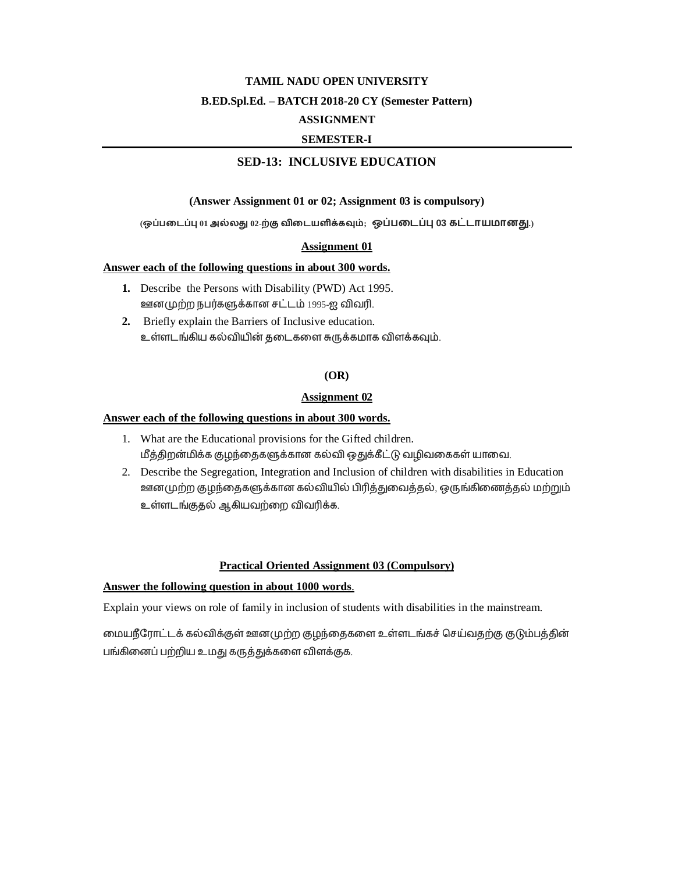# **SED-13: INCLUSIVE EDUCATION**

#### **(Answer Assignment 01 or 02; Assignment 03 is compulsory)**

(ஒப்படைப்பு 01 அல்லது 02-ற்கு விடையளிக்கவும்; ஒப்படைப்பு 03 கட்டாயமானது.)

#### **Assignment 01**

#### **Answer each of the following questions in about 300 words.**

- **1.** Describe the Persons with Disability (PWD) Act 1995. ஊனமுற்ற நபர்களுக்கான சட்டம் 1995-ஐ விவரி.
- **2.** Briefly explain the Barriers of Inclusive education. உள்ளடங்கிய கல்வியின் தடைகளை சுருக்கமாக விளக்கவும்.

### **(OR)**

#### **Assignment 02**

#### **Answer each of the following questions in about 300 words.**

- 1. What are the Educational provisions for the Gifted children. மீத்திறன்மிக்க குழந்தைகளுக்கான கல்வி ஒதுக்கீட்டு வழிவகைகள் யாவை.
- 2. Describe the Segregation, Integration and Inclusion of children with disabilities in Education ஊனமுற்ற குழந்தைகளுக்கான கல்வியில் பிரித்துவைத்தல், ஒருங்கிணைத்தல் மற்றும் உள்ளடங்குதல் ஆகியவற்றை விவரிக்க.

#### **Practical Oriented Assignment 03 (Compulsory)**

#### **Answer the following question in about 1000 words**.

Explain your views on role of family in inclusion of students with disabilities in the mainstream.

மையநீரோட்டக் கல்விக்குள் ஊனமுற்ற குழந்தைகளை உள்ளடங்கச் செய்வதற்கு குடும்பத்தின் பங்கினைப் பற்றிய உமது கருத்துக்களை விளக்குக.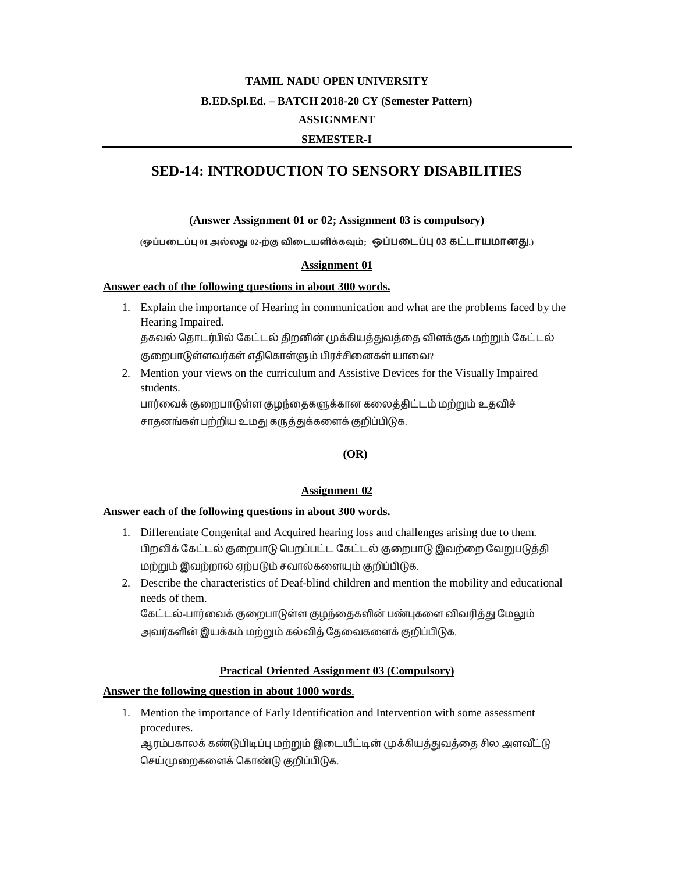# **SED-14: INTRODUCTION TO SENSORY DISABILITIES**

#### (Answer Assignment 01 or 02; Assignment 03 is compulsory)

(ஒப்படைப்பு 01 அல்லது 02-ற்கு விடையளிக்கவும்; ஒப்படைப்பு 03 கட்டாயமானது.)

#### **Assignment 01**

#### Answer each of the following questions in about 300 words.

- 1. Explain the importance of Hearing in communication and what are the problems faced by the Hearing Impaired. தகவல் தொடர்பில் கேட்டல் திறனின் முக்கியத்துவத்தை விளக்குக மற்றும் கேட்டல் குறைபாடுள்ளவர்கள் எதிகொள்ளும் பிரச்சினைகள் யாவை?
- 2. Mention your views on the curriculum and Assistive Devices for the Visually Impaired students.

பார்வைக் குறைபாடுள்ள குழந்தைகளுக்கான கலைத்திட்டம் மற்றும் உதவிச் சாதனங்கள் பற்றிய உமது கருத்துக்களைக் குறிப்பிடுக.

# $(OR)$

#### **Assignment 02**

#### Answer each of the following questions in about 300 words.

- 1. Differentiate Congenital and Acquired hearing loss and challenges arising due to them. பிறவிக் கேட்டல் குறைபாடு பெறப்பட்ட கேட்டல் குறைபாடு இவற்றை வேறுபடுத்தி மற்றும் இவற்றால் ஏற்படும் சவால்களையும் குறிப்பிடுக.
- 2. Describe the characteristics of Deaf-blind children and mention the mobility and educational needs of them.

கேட்டல்-பார்வைக் குறைபாடுள்ள குழந்தைகளின் பண்புகளை விவரித்து மேலும் அவர்களின் இயக்கம் மற்றும் கல்வித் தேவைகளைக் குறிப்பிடுக.

#### **Practical Oriented Assignment 03 (Compulsory)**

#### Answer the following question in about 1000 words.

1. Mention the importance of Early Identification and Intervention with some assessment procedures.

ஆரம்பகாலக் கண்டுபிடிப்பு மற்றும் இடையீட்டின் முக்கியத்துவத்தை சில அளவீட்டு செய்முறைகளைக் கொண்டு குறிப்பிடுக.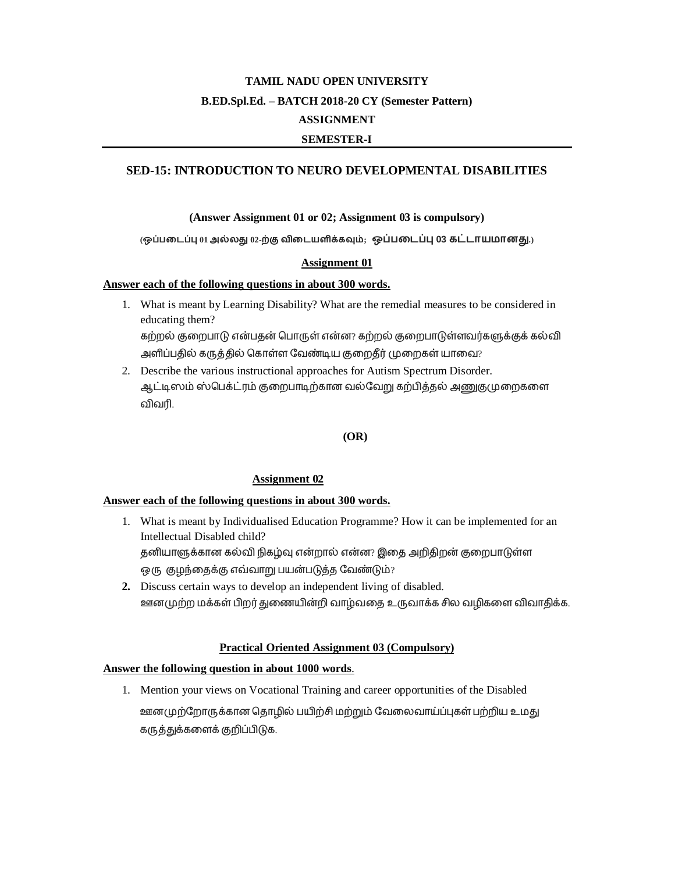# **SED-15: INTRODUCTION TO NEURO DEVELOPMENTAL DISABILITIES**

#### (Answer Assignment 01 or 02; Assignment 03 is compulsory)

(ஒப்படைப்பு 01 அல்லது 02-ற்கு விடையளிக்கவும்; ஒப்படைப்பு 03 கட்டாயமானது.)

#### **Assignment 01**

#### Answer each of the following questions in about 300 words.

- 1. What is meant by Learning Disability? What are the remedial measures to be considered in educating them? கற்றல் குறைபாடு என்பதன் பொருள் என்ன? கற்றல் குறைபாடுள்ளவர்களுக்குக் கல்வி அளிப்பதில் கருத்தில் கொள்ள வேண்டிய குறைதீர் முறைகள் யாவை?
- 2. Describe the various instructional approaches for Autism Spectrum Disorder. ஆட்டிஸம் ஸ்பெக்ட்ரம் குறைபாடிற்கான வல்வேறு கற்பித்தல் அணுகுமுறைகளை விவரி.

#### $(OR)$

#### **Assignment 02**

#### Answer each of the following questions in about 300 words.

- 1. What is meant by Individualised Education Programme? How it can be implemented for an Intellectual Disabled child? தனியாளுக்கான கல்வி நிகழ்வு என்றால் என்ன? இதை அறிதிறன் குறைபாடுள்ள ஒரு குழந்தைக்கு எவ்வாறு பயன்படுத்த வேண்டும்?
- 2. Discuss certain ways to develop an independent living of disabled. ஊனமுற்ற மக்கள் பிறர் துணையின்றி வாழ்வதை உருவாக்க சில வழிகளை விவாதிக்க.

# **Practical Oriented Assignment 03 (Compulsory)**

#### Answer the following question in about 1000 words.

1. Mention your views on Vocational Training and career opportunities of the Disabled ஊனமுற்றோருக்கான தொழில் பயிற்சி மற்றும் வேலைவாய்ப்புகள் பற்றிய உமது கருத்துக்களைக் குறிப்பிடுக.